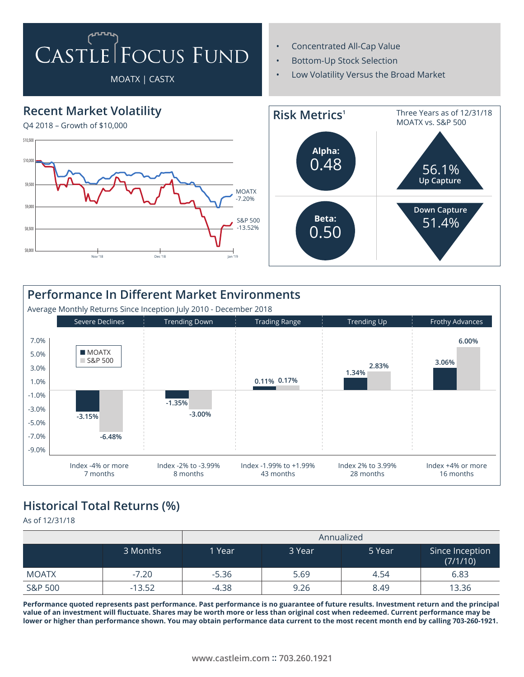## CASTLE FOCUS FUND

## MOATX | CASTX

- Concentrated All-Cap Value
- Bottom-Up Stock Selection
- Low Volatility Versus the Broad Market



| <b>Performance In Different Market Environments</b><br>Average Monthly Returns Since Inception July 2010 - December 2018 |                                |                                 |                                     |                                |                                |  |  |  |  |  |
|--------------------------------------------------------------------------------------------------------------------------|--------------------------------|---------------------------------|-------------------------------------|--------------------------------|--------------------------------|--|--|--|--|--|
|                                                                                                                          | <b>Severe Declines</b>         | <b>Trending Down</b>            | <b>Trading Range</b>                | Trending Up                    | Frothy Advances                |  |  |  |  |  |
| 7.0%<br>5.0%<br>3.0%<br>1.0%<br>$-1.0%$<br>$-3.0%$                                                                       | <b>MOATX</b><br>$\Box$ S&P 500 | $-1.35%$                        | 0.11% 0.17%                         | 2.83%<br>1.34%                 | 6.00%<br>3.06%                 |  |  |  |  |  |
| $-5.0%$<br>$-7.0%$<br>$-9.0%$                                                                                            | $-3.15%$<br>$-6.48%$           | $-3.00%$                        |                                     |                                |                                |  |  |  |  |  |
|                                                                                                                          | Index -4% or more<br>7 months  | Index -2% to -3.99%<br>8 months | Index -1.99% to +1.99%<br>43 months | Index 2% to 3.99%<br>28 months | Index +4% or more<br>16 months |  |  |  |  |  |

## **Historical Total Returns (%)**

As of 12/31/18

|              |          | Annualized |        |        |                             |  |
|--------------|----------|------------|--------|--------|-----------------------------|--|
|              | 3 Months | 1 Year     | 3 Year | 5 Year | Since Inception<br>(7/1/10) |  |
| <b>MOATX</b> | $-7.20$  | $-5.36$    | 5.69   | 4.54   | 6.83                        |  |
| S&P 500      | $-13.52$ | $-4.38$    | 9.26   | 8.49   | 13.36                       |  |

**Performance quoted represents past performance. Past performance is no guarantee of future results. Investment return and the principal value of an investment will fluctuate. Shares may be worth more or less than original cost when redeemed. Current performance may be lower or higher than performance shown. You may obtain performance data current to the most recent month end by calling 703-260-1921.**